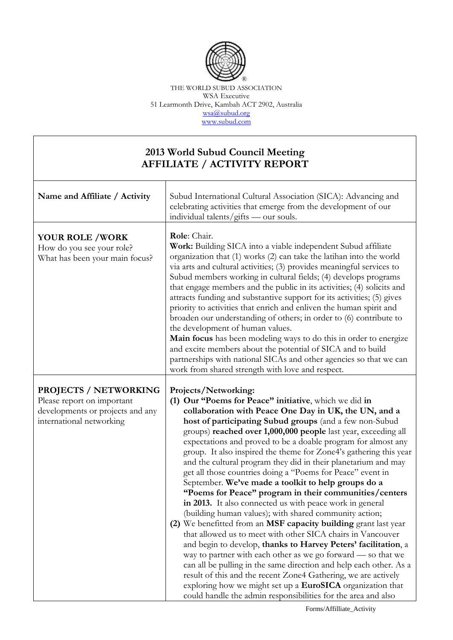

THE WORLD SUBUD ASSOCIATION WSA Executive 51 Learmonth Drive, Kambah ACT 2902, Australia [wsa@subud.org](mailto:wsa@subud.org) [www.subud.com](http://www.subud.com/)

## **2013 World Subud Council Meeting AFFILIATE / ACTIVITY REPORT**

| Name and Affiliate / Activity                                                                                              | Subud International Cultural Association (SICA): Advancing and<br>celebrating activities that emerge from the development of our<br>individual talents/gifts — our souls.                                                                                                                                                                                                                                                                                                                                                                                                                                                                                                                                                                                                                                                                                                                                                                                                                                                                                                                                                                                                                                                                                                                                                   |
|----------------------------------------------------------------------------------------------------------------------------|-----------------------------------------------------------------------------------------------------------------------------------------------------------------------------------------------------------------------------------------------------------------------------------------------------------------------------------------------------------------------------------------------------------------------------------------------------------------------------------------------------------------------------------------------------------------------------------------------------------------------------------------------------------------------------------------------------------------------------------------------------------------------------------------------------------------------------------------------------------------------------------------------------------------------------------------------------------------------------------------------------------------------------------------------------------------------------------------------------------------------------------------------------------------------------------------------------------------------------------------------------------------------------------------------------------------------------|
| <b>YOUR ROLE /WORK</b><br>How do you see your role?<br>What has been your main focus?                                      | Role: Chair.<br>Work: Building SICA into a viable independent Subud affiliate<br>organization that (1) works (2) can take the latihan into the world<br>via arts and cultural activities; (3) provides meaningful services to<br>Subud members working in cultural fields; (4) develops programs<br>that engage members and the public in its activities; (4) solicits and<br>attracts funding and substantive support for its activities; (5) gives<br>priority to activities that enrich and enliven the human spirit and<br>broaden our understanding of others; in order to (6) contribute to<br>the development of human values.<br>Main focus has been modeling ways to do this in order to energize<br>and excite members about the potential of SICA and to build<br>partnerships with national SICAs and other agencies so that we can<br>work from shared strength with love and respect.                                                                                                                                                                                                                                                                                                                                                                                                                         |
| <b>PROJECTS / NETWORKING</b><br>Please report on important<br>developments or projects and any<br>international networking | Projects/Networking:<br>(1) Our "Poems for Peace" initiative, which we did in<br>collaboration with Peace One Day in UK, the UN, and a<br>host of participating Subud groups (and a few non-Subud<br>groups) reached over 1,000,000 people last year, exceeding all<br>expectations and proved to be a doable program for almost any<br>group. It also inspired the theme for Zone4's gathering this year<br>and the cultural program they did in their planetarium and may<br>get all those countries doing a "Poems for Peace" event in<br>September. We've made a toolkit to help groups do a<br>"Poems for Peace" program in their communities/centers<br>in 2013. It also connected us with peace work in general<br>(building human values); with shared community action;<br>(2) We benefitted from an MSF capacity building grant last year<br>that allowed us to meet with other SICA chairs in Vancouver<br>and begin to develop, thanks to Harvey Peters' facilitation, a<br>way to partner with each other as we go forward - so that we<br>can all be pulling in the same direction and help each other. As a<br>result of this and the recent Zone4 Gathering, we are actively<br>exploring how we might set up a EuroSICA organization that<br>could handle the admin responsibilities for the area and also |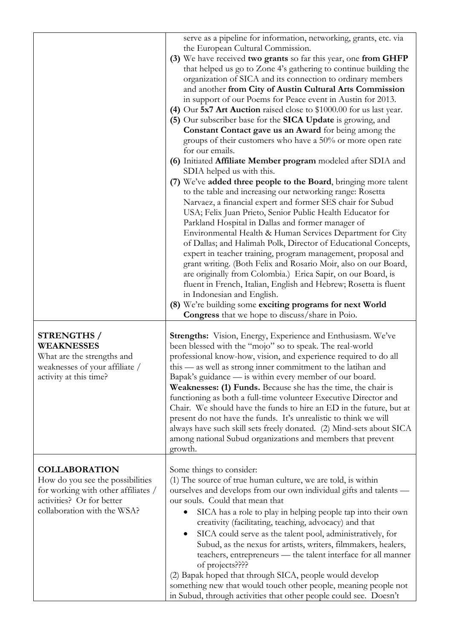|                                                                                                                                                             | serve as a pipeline for information, networking, grants, etc. via<br>the European Cultural Commission.<br>(3) We have received two grants so far this year, one from GHFP<br>that helped us go to Zone 4's gathering to continue building the<br>organization of SICA and its connection to ordinary members<br>and another from City of Austin Cultural Arts Commission<br>in support of our Poems for Peace event in Austin for 2013.<br>(4) Our 5x7 Art Auction raised close to \$1000.00 for us last year.<br>(5) Our subscriber base for the SICA Update is growing, and<br>Constant Contact gave us an Award for being among the<br>groups of their customers who have a 50% or more open rate<br>for our emails.<br>(6) Initiated Affiliate Member program modeled after SDIA and<br>SDIA helped us with this.<br>(7) We've added three people to the Board, bringing more talent<br>to the table and increasing our networking range: Rosetta<br>Narvaez, a financial expert and former SES chair for Subud<br>USA; Felix Juan Prieto, Senior Public Health Educator for<br>Parkland Hospital in Dallas and former manager of<br>Environmental Health & Human Services Department for City<br>of Dallas; and Halimah Polk, Director of Educational Concepts,<br>expert in teacher training, program management, proposal and<br>grant writing. (Both Felix and Rosario Moir, also on our Board,<br>are originally from Colombia.) Erica Sapir, on our Board, is<br>fluent in French, Italian, English and Hebrew; Rosetta is fluent<br>in Indonesian and English.<br>(8) We're building some exciting programs for next World<br><b>Congress</b> that we hope to discuss/share in Poio. |
|-------------------------------------------------------------------------------------------------------------------------------------------------------------|-------------------------------------------------------------------------------------------------------------------------------------------------------------------------------------------------------------------------------------------------------------------------------------------------------------------------------------------------------------------------------------------------------------------------------------------------------------------------------------------------------------------------------------------------------------------------------------------------------------------------------------------------------------------------------------------------------------------------------------------------------------------------------------------------------------------------------------------------------------------------------------------------------------------------------------------------------------------------------------------------------------------------------------------------------------------------------------------------------------------------------------------------------------------------------------------------------------------------------------------------------------------------------------------------------------------------------------------------------------------------------------------------------------------------------------------------------------------------------------------------------------------------------------------------------------------------------------------------------------------------------------------------------------------------------------------------|
| <b>STRENGTHS</b> /<br><b>WEAKNESSES</b><br>What are the strengths and<br>weaknesses of your affiliate /<br>activity at this time?                           | <b>Strengths:</b> Vision, Energy, Experience and Enthusiasm. We've<br>been blessed with the "mojo" so to speak. The real-world<br>professional know-how, vision, and experience required to do all<br>this — as well as strong inner commitment to the latihan and<br>Bapak's guidance — is within every member of our board.<br>Weaknesses: (1) Funds. Because she has the time, the chair is<br>functioning as both a full-time volunteer Executive Director and<br>Chair. We should have the funds to hire an ED in the future, but at<br>present do not have the funds. It's unrealistic to think we will<br>always have such skill sets freely donated. (2) Mind-sets about SICA<br>among national Subud organizations and members that prevent<br>growth.                                                                                                                                                                                                                                                                                                                                                                                                                                                                                                                                                                                                                                                                                                                                                                                                                                                                                                                                 |
| <b>COLLABORATION</b><br>How do you see the possibilities<br>for working with other affiliates /<br>activities? Or for better<br>collaboration with the WSA? | Some things to consider:<br>(1) The source of true human culture, we are told, is within<br>ourselves and develops from our own individual gifts and talents -<br>our souls. Could that mean that<br>SICA has a role to play in helping people tap into their own<br>creativity (facilitating, teaching, advocacy) and that<br>SICA could serve as the talent pool, administratively, for<br>Subud, as the nexus for artists, writers, filmmakers, healers,<br>teachers, entrepreneurs — the talent interface for all manner<br>of projects????<br>(2) Bapak hoped that through SICA, people would develop<br>something new that would touch other people, meaning people not<br>in Subud, through activities that other people could see. Doesn't                                                                                                                                                                                                                                                                                                                                                                                                                                                                                                                                                                                                                                                                                                                                                                                                                                                                                                                                              |